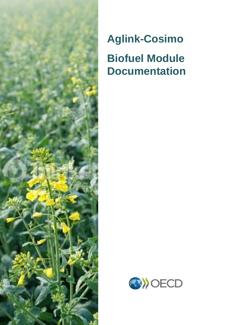

# **Aglink-Cosimo Biofuel Module Documentation**

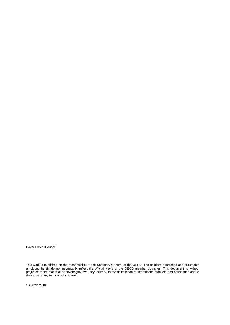Cover Photo © audaxl

This work is published on the responsibility of the Secretary-General of the OECD. The opinions expressed and arguments employed herein do not necessarily reflect the official views of the OECD member countries. This document is without prejudice to the status of or sovereignty over any territory, to the delimitation of international frontiers and boundaries and to the name of any territory, city or area.

© OECD 2018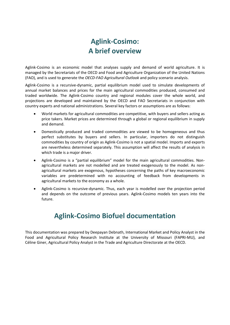### <span id="page-2-0"></span>**Aglink-Cosimo: A brief overview**

Aglink-Cosimo is an economic model that analyses supply and demand of world agriculture. It is managed by the Secretariats of the OECD and Food and Agriculture Organization of the United Nations (FAO), and is used to generate the *OECD-FAO Agricultural Outlook* and policy scenario analysis.

Aglink-Cosimo is a recursive-dynamic, partial equilibrium model used to simulate developments of annual market balances and prices for the main agricultural commodities produced, consumed and traded worldwide. The Aglink-Cosimo country and regional modules cover the whole world, and projections are developed and maintained by the OECD and FAO Secretariats in conjunction with country experts and national administrations. Several key factors or assumptions are as follows:

- World markets for agricultural commodities are competitive, with buyers and sellers acting as price takers. Market prices are determined through a global or regional equilibrium in supply and demand.
- Domestically produced and traded commodities are viewed to be homogeneous and thus perfect substitutes by buyers and sellers. In particular, importers do not distinguish commodities by country of origin as Aglink-Cosimo is not a spatial model. Imports and exports are nevertheless determined separately. This assumption will affect the results of analysis in which trade is a major driver.
- Aglink-Cosimo is a "partial equilibrium" model for the main agricultural commodities. Nonagricultural markets are not modelled and are treated exogenously to the model. As nonagricultural markets are exogenous, hypotheses concerning the paths of key macroeconomic variables are predetermined with no accounting of feedback from developments in agricultural markets to the economy as a whole.
- Aglink-Cosimo is recursive-dynamic. Thus, each year is modelled over the projection period and depends on the outcome of previous years. Aglink-Cosimo models ten years into the future.

### **Aglink-Cosimo Biofuel documentation**

This documentation was prepared by Deepayan Debnath, International Market and Policy Analyst in the Food and Agricultural Policy Research Institute at the University of Missouri (FAPRI-MU), and Céline Giner, Agricultural Policy Analyst in the Trade and Agriculture Directorate at the OECD.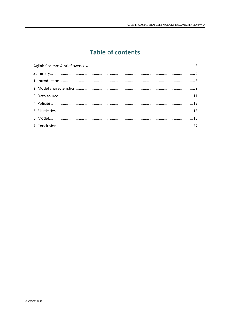### **Table of contents**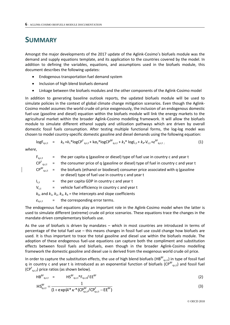### <span id="page-5-0"></span>**SUMMARY**

Amongst the major developments of the 2017 update of the Aglink-Cosimo's biofuels module was the demand and supply equations template, and its application to the countries covered by the model. In addition to defining the variables, equations, and assumptions used in the biofuels module, this document describes the following updates:

- Endogenous transportation fuel demand system
- Inclusion of high blend biofuels demand
- Linkage between the biofuels modules and the other components of the Aglink-Cosimo model

In addition to generating baseline outlook reports, the updated biofuels module will be used to simulate policies in the context of global climate change mitigation scenarios. Even though the Aglink-Cosimo model assumes the world crude oil price exogenously, the inclusion of an endogenous domestic fuel-use (gasoline and diesel) equation within the biofuels module will link the energy markets to the agricultural market within the broader Aglink-Cosimo modelling framework. It will allow the biofuels module to simulate different ethanol supply and utilization pathways which are driven by overall domestic fossil fuels consumption. After testing multiple functional forms, the log-log model was chosen to model country-specific domestic gasoline and diesel demands using the following equation:

$$
\log F_{q,c,t} = k_0 + k_1 * \log CP^F_{q,c,t} + k \alpha_2 * \log CP^{BF}_{q,c,t} + k_3 * \log l_{c,t} + k_4 * V_{c,t} + \varepsilon^{BF}_{q,c,t};
$$
 (1)

*where*,

 $F_{q,c,t}$  = the per capita q (gasoline or diesel) type of fuel use in country c and year t  $\text{CP}^\text{F}$ <sub>a,c,t</sub>  $=$  the consumer price of q (gasoline or diesel) type of fuel in country c and year t  $\text{CP}^{\text{BF}}_{a.c.t.}$ = the biofuels (ethanol or biodiesel) consumer price associated with q (gasoline or diesel) type of fuel use in country c and year t  $I_{c,t}$  = the per capita GDP in country c and year t  $V_{c,t}$  = vehicle fuel efficiency in country c and year t  $k_0$ , and  $k_1$ ,  $k_2$ ,  $k_3$ ,  $k_4$  = the intercepts and slope coefficients  $\varepsilon_{\text{a.c.t}}$  = the corresponding error terms.

The endogenous fuel equations play an important role in the Aglink-Cosimo model when the latter is used to simulate different (extreme) crude oil price scenarios. These equations trace the changes in the mandate-driven complementary biofuels use.

As the use of biofuels is driven by mandates – which in most countries are introduced in terms of percentage of the total fuel use – this means changes in fossil fuel use could change how biofuels are used. It is thus important to trace the total gasoline and diesel use within the biofuels module. The adoption of these endogenous fuel-use equations can capture both the compliment and substitution effects between fossil fuels and biofuels, even though in the broader Aglink-Cosimo modelling framework the domestic gasoline and diesel use is derived from the exogenous world crude oil price.

In order to capture the substitution effects, the use of high blend biofuels (HB $^{BF}$ <sub>q,c,t</sub>) in type of fossil fuel q in country c and year t is introduced as an exponential function of biofuels (CP $^{BF}$ <sub>q,c,t</sub>) and fossil fuel  $(CP_{q,c,t}^F)$  price ratios (as shown below).

$$
HB^{BF}_{q,c,t} = HS^{BF}_{q,c,t} * F_{q,c,t}/EE^{BF}
$$
 (2)

$$
HS_{q,c,t}^{BF} = \frac{1}{(1 + \exp(4 \ast \kappa^* (CP_{q,c,t}^{BF}/CP_{q,c,t}^F - EE^{BF})} \tag{3}
$$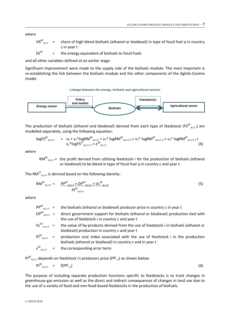*where*

 $HS_{a.c.t}^{BF}$ = share of high blend biofuels (ethanol or biodiesel) in type of fossil fuel q in country c in year t

EE<sup>BF</sup> = the energy equivalent of biofuels to fossil fuels

and all other variables defined at an earlier stage.

Significant improvement were made to the supply side of the biofuels module. The most important is re-establishing the link between the biofuels module and the other components of the Aglink-Cosimo model.

**Linkage between the energy, biofuels and agricultural sectors**



The production of biofuels (ethanol and biodiesel) derived from each type of feedstock (FS $^{BF}$ <sub>q,i,c,t</sub>) are modelled separately, using the following equation:

$$
\log FS^{BF}{}_{q,i,c,t} = v_0 + v_1 * \log RM^{BF}{}_{q,i,c,t} + v_2 * \log RM^{BF}{}_{q,i,c,t-1} + v_3 * \log RM^{BF}{}_{q,i,c,t-2} + v_4 * \log RM^{BF}{}_{q,i,c,t-3} + v_5 * \log FS^{EF}{}_{q,i,c,t-1} + \varepsilon^{BF}{}_{q,i,c,t} \tag{4}
$$

*where*

 $RM^{BF}_{q,i,c,t}$  = the profit derived from utilising feedstock i for the production of biofuels (ethanol or biodiesel) to be blend in type of fossil fuel q in country c and year t.

The RM $^{\text{ET}}$ <sub>q,i,c,t</sub> is derived based on the following identity:

$$
RM^{BF}_{q,i,c,t} = \frac{pp^{BF}_{q,i,c,t} + DP^{BF}_{q,i,c,t} + VL^{BF}_{q,i,c,t}}{PI^{BF}_{q,i,c,t}}
$$
(5)

*where*

| $PP^{BF}_{q,i,c,t}$ =          | the biofuels (ethanol or biodiesel) producer price in country c in year t                                                                    |
|--------------------------------|----------------------------------------------------------------------------------------------------------------------------------------------|
| $DP^{BF}_{q,i,c,t}$ =          | direct government support for biofuels (ethanol or biodiesel) production tied with<br>the use of feedstock i in country c and year t         |
| $VL^{BF}$ <sub>a,i,c,t</sub> = | the value of by-products derived from the use of feedstock i in biofuels (ethanol or<br>biodiesel) production in country c and year t        |
| $PI_{q,i,c,t}^{BF}$ =          | production cost index associated with the use of feedstock i in the production<br>biofuels (ethanol or biodiesel) in country c and in year t |
|                                | $\epsilon^{\text{BF}}_{q,i,c,t}$ = the corresponding error term.                                                                             |

 $\mathsf{PI}^{\mathsf{BF}}$ <sub>q,i,c,t</sub> depends on feedstock i's producers price (PP<sup>i</sup><sub>c,t</sub>) as shown below:

$$
PI^{BF}_{q,i,c,t} = f(PP^{i}_{c,t})
$$
 (6)

The purpose of including separate production functions specific to feedstocks is to track changes in greenhouse gas emission as well as the direct and indirect consequences of changes in land use due to the use of a variety of food and non-food-based feedstocks in the production of biofuels.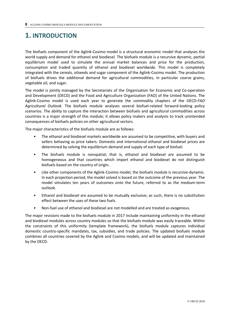### <span id="page-7-0"></span>**1. INTRODUCTION**

The biofuels component of the Aglink-Cosimo model is a structural economic model that analyses the world supply and demand for ethanol and biodiesel. The biofuels module is a recursive dynamic, partial equilibrium model used to simulate the annual market balances and price for the production, consumption and traded quantity of ethanol and biodiesel worldwide. This model is completely integrated with the cereals, oilseeds and sugar component of the Aglink-Cosimo model. The production of biofuels drives the additional demand for agricultural commodities, in particular coarse grains, vegetable oil, and sugar.

The model is jointly managed by the Secretariats of the Organisation for Economic and Co-operation and Development (OECD) and the Food and Agriculture Organization (FAO) of the United Nations. The Aglink-Cosimo model is used each year to generate the commodity chapters of the *OECD-FAO Agricultural Outlook.* The biofuels module analyses several biofuel-related forward-looking policy scenarios. The ability to capture the interaction between biofuels and agricultural commodities across countries is a major strength of this module; it allows policy makers and analysts to track unintended consequences of biofuels policies on other agricultural sectors.

The major characteristics of the biofuels module are as follows:

- The ethanol and biodiesel markets worldwide are assumed to be competitive, with buyers and sellers behaving as price takers. Domestic and international ethanol and biodiesel prices are determined by solving the equilibrium demand and supply of each type of biofuel.
- The biofuels module is nonspatial; that is, ethanol and biodiesel are assumed to be homogeneous and that countries which import ethanol and biodiesel do not distinguish biofuels based on the country of origin.
- Like other components of the Aglink-Cosimo model, the biofuels module is recursive-dynamic. In each projection period, the model solved is based on the outcome of the previous year. The model simulates ten years of outcomes onto the future, referred to as the medium-term outlook.
- Ethanol and biodiesel are assumed to be mutually exclusive; as such, there is no substitution effect between the uses of these two fuels.
- Non-fuel use of ethanol and biodiesel are not modelled and are treated as exogenous.

The major revisions made to the biofuels module in 2017 include maintaining uniformity in the ethanol and biodiesel modules across country modules so that the biofuels module was easily traceable. Within the constraints of this uniformity (template framework), the biofuels module captures individual domestic country-specific mandates, tax, subsidies, and trade policies. The updated biofuels module combines all countries covered by the Aglink and Cosimo models, and will be updated and maintained by the OECD.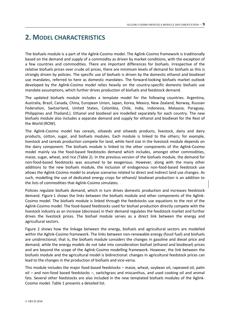### <span id="page-8-0"></span>**2. MODEL CHARACTERISTICS**

The biofuels module is a part of the Aglink-Cosimo model. The Aglink-Cosimo framework is traditionally based on the demand and supply of a commodity as driven by market conditions, with the exception of a few countries and commodities. There are important differences for biofuels. Irrespective of the relative biofuels prices over crude oil prices, there are minimum levels of demand for biofuels as this is strongly driven by policies. The specific use of biofuels is driven by the domestic ethanol and biodiesel use mandates, referred to here as domestic mandates. The forward-looking biofuels market outlook developed by the Aglink-Cosimo model relies heavily on the country-specific domestic biofuels use mandate assumptions, which further drives production of biofuels and feedstock demand.

The updated biofuels module includes a template model for the following countries: Argentina, Australia, Brazil, Canada, China, European Union, Japan, Korea, Mexico, New Zealand, Norway, Russian Federation, Switzerland, United States, Colombia, Chile, India, Indonesia, Malaysia, Paraguay, Philippines and Thailand.). Ethanol and biodiesel are modelled separately for each country. The new biofuels module also includes a separate demand and supply for ethanol and biodiesel for the Rest of the World (ROW).

The Aglink-Cosimo model has cereals, oilseeds and oilseeds products, livestock, dairy and dairy products, cotton, sugar, and biofuels modules. Each module is linked to the others; for example, livestock and cereals production compete for land, while herd size in the livestock module depends on the dairy component. The biofuels module is linked to the other components of the Aglink-Cosimo model mainly via the food-based feedstocks demand which includes, amongst other commodities, maize, sugar, wheat, and rice (Table 2). In the previous version of the biofuels module, the demand for non-food-based feedstocks was assumed to be exogenous. However, along with the many other additions to the new biofuels module, the inclusion of endogenous non-food-based feedstock use allows the Aglink-Cosimo model to analyse scenarios related to direct and indirect land use changes. As such, modelling the use of dedicated energy crops for ethanol/ biodiesel production is an addition to the lists of commodities that Aglink-Cosimo simulates.

Policies regulate biofuels demand, which in turn drives domestic production and increases feedstock demand. Figure 1 shows the links between the biofuels module and other components of the Aglink-Cosimo model. The biofuels module is linked through the feedstocks use equations to the rest of the Aglink-Cosimo model. The food-based feedstocks used for biofuel production directly compete with the livestock industry as an increase (decrease) in their demand regulates the feedstock market and further drives the livestock prices. The biofuel module serves as a direct link between the energy and agricultural sectors.

Figure 2 shows how the linkage between the energy, biofuels and agricultural sectors are modelled within the Aglink-Cosimo framework. The links between non-renewable energy (fossil fuel) and biofuels are unidirectional; that is, the biofuels module considers the changes in gasoline and diesel price and demand, while the energy models do not take into consideration biofuel (ethanol and biodiesel) prices and are beyond the scope of the Aglink-Cosimo modelling framework. However, the link between the biofuels module and the agricultural model is bidirectional: changes in agricultural feedstock prices can lead to the changes in the production of biofuels and vice-versa.

This module includes the major food-based feedstocks – maize, wheat, soybean oil, rapeseed oil, palm oil – and non-food based feedstocks –, switchgrass and miscanthus, and used cooking oil and animal fats. Several other feedstocks are also included in the new templated biofuels modules of the Aglink-Cosimo model. Table 1 presents a detailed list.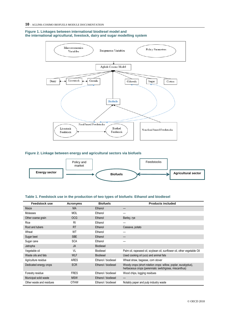#### **Figure 1. Linkages between international biodiesel model and the international agricultural, livestock, dairy and sugar modelling system**



#### **Figure 2. Linkage between energy and agricultural sectors via biofuels**



#### **Table 1. Feedstock use in the production of two types of biofuels: Ethanol and biodiesel**

| <b>Feedstock use</b>     | Acronyms    | <b>Biofuels</b>     | <b>Products included</b>                                                                                                  |
|--------------------------|-------------|---------------------|---------------------------------------------------------------------------------------------------------------------------|
| Maize                    | <b>MA</b>   | Ethanol             |                                                                                                                           |
| <b>Molasses</b>          | <b>MOL</b>  | Ethanol             |                                                                                                                           |
| Other coarse grain       | <b>OCG</b>  | Ethanol             | Barley, rye                                                                                                               |
| Rice                     | RI          | Ethanol             |                                                                                                                           |
| Root and tubers          | <b>RT</b>   | Ethanol             | Cassava, potato                                                                                                           |
| Wheat                    | WT          | Ethanol             |                                                                                                                           |
| Sugar beet               | <b>SBE</b>  | Ethanol             |                                                                                                                           |
| Sugar cane               | <b>SCA</b>  | Ethanol             |                                                                                                                           |
| Jatropha                 | <b>JA</b>   | <b>Biodiesel</b>    |                                                                                                                           |
| Vegetable oil            | VL          | <b>Biodiesel</b>    | Palm oil, rapeseed oil, soybean oil, sunflower oil, other vegetable Oil                                                   |
| Waste oils and fats      | <b>WLF</b>  | <b>Biodiesel</b>    | Used cooking oil (uco) and animal fats                                                                                    |
| Agriculture residue      | <b>ARES</b> | Ethanol / biodiesel | Wheat straw, bagasse, corn stover                                                                                         |
| Dedicated energy crops   | <b>ECR</b>  | Ethanol / biodiesel | Woody crops (short rotation crops: willow, poplar, eucalyptus),<br>herbaceous crops (perennials: switchgrass, miscanthus) |
| Forestry residue         | <b>FRES</b> | Ethanol / biodiesel | Wood chips, logging residues                                                                                              |
| Municipal solid waste    | <b>MSW</b>  | Ethanol / biodiesel | —                                                                                                                         |
| Other waste and residues | <b>OTHW</b> | Ethanol / biodiesel | Notably paper and pulp industry waste                                                                                     |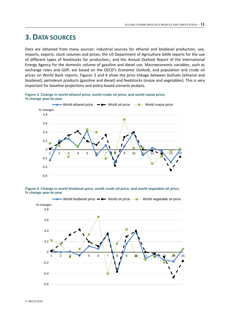### <span id="page-10-0"></span>**3. DATA SOURCES**

Data are obtained from many sources: industrial sources for ethanol and biodiesel production, use, imports, exports, stock volumes and prices; the US Department of Agriculture GAIN reports for the use of different types of feedstocks for production;; and the *Annual Outlook Report* of the International Energy Agency for the domestic volume of gasoline and diesel use. Macroeconomic variables, such as exchange rates and GDP, are based on the OECD's *Economic Outlook*, and population and crude oil prices on World Bank reports. Figures 3 and 4 show the price linkage between biofuels (ethanol and biodiesel), petroleum products (gasoline and diesel) and feedstocks (maize and vegetables). This is very important for baseline projections and policy-based scenario analysis.

**Figure 3. Change in world ethanol price, world crude oil price, and world maize price, % change year-to-year**





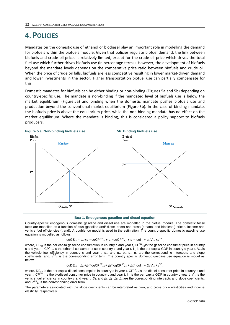### <span id="page-11-0"></span>**4. POLICIES**

Mandates on the domestic use of ethanol or biodiesel play an important role in modelling the demand for biofuels within the biofuels module. Given that policies regulate biofuel demand, the link between biofuels and crude oil prices is relatively limited, except for the crude oil price which drives the total fuel use which further drives biofuels use (in percentage terms). However, the development of biofuels beyond the mandate levels depends on the comparative price ratio between biofuels and crude oil. When the price of crude oil falls, biofuels are less competitive resulting in lower market-driven demand and lower investments in the sector. Higher transportation biofuel use can partially compensate for this.

Domestic mandates for biofuels can be either binding or non-binding (Figures 5a and 5b) depending on country-specific use. The mandate is non-binding if the mandated level of biofuels use is below the market equilibrium (Figure 5a) and binding when the domestic mandate pushes biofuels use and production beyond the conventional market equilibrium (Figure 5b). In the case of binding mandate, the biofuels price is above the equilibrium price, while the non-binding mandate has no effect on the market equilibrium. Where the mandate is binding, this is considered a policy support to biofuels producers.



#### **Box 1. Endogenous gasoline and diesel equation**

Country-specific endogenous domestic gasoline and diesel use are modelled in the biofuel module. The domestic fossil fuels are modelled as a function of own (gasoline and/ diesel price) and cross (ethanol and biodiesel) prices, income and vehicle fuel efficiencies (trend). A double log model is used in the estimation. The country-specific domestic gasoline use equation is modelled as follows:

$$
logGS_{c,t} = \alpha_0 + \alpha_1 * logCP^{GS}_{c,t} + \alpha_2 * logCP^{ET}_{c,t} + \alpha_3 * logI_{c,t} + \alpha_4 * V_{c,t} + \varepsilon^{GS}_{c,t}
$$

where, GS<sub>c,t</sub> is the per capita gasoline consumption in country c and year t, CP<sup>GS</sup><sub>c,t</sub> is the gasoline consumer price in country c and year t,  $CP^{ET}$ <sub>c,t</sub> is the ethanol consumer price in country c and year t, I<sub>c,t</sub> is the per capita GDP in country c year t, V<sub>c,t</sub> is the vehicle fuel efficiency in country c and year t,  $\alpha_0$ , and  $\alpha_1$ ,  $\alpha_2$ ,  $\alpha_3$ ,  $\alpha_4$  are the corresponding intercepts and slope coefficients, and, ε<sup>GS</sup><sub>c,t</sub> is the corresponding error term. The country specific domestic gasoline use equation is model as below:

$$
logDE_{c,t} = \beta_0 + \beta_1 * logCP^{DE}_{c,t} + \beta_2 * logCP^{BD}_{c,t} + \beta_3 * logI_{c,t} + \beta_4 * V_{c,t} + \epsilon^{DE}_{c,t}
$$

where, DE<sub>c,t</sub> is the per capita diesel consumption in country c in year t,  $CP^{DE}$ <sub>c,t</sub> is the diesel consumer price in country c and year t, CP<sup>BD</sup><sub>c,t</sub> is the biodiesel consumer price in country c and year t, I<sub>c,t</sub> is the per capita GDP in country c year t, V<sub>c,t</sub> is the vehicle fuel efficiency in country c and year t, *β*0, and *β*1, *β*2, *β*3, *β*4 are the corresponding intercepts and slope coefficients, and,  $\epsilon^{GS}$ <sub>c,t</sub> is the corresponding error term.

The parameters associated with the slope coefficients can be interpreted as own, and cross price elasticities and income elasticity, respectively.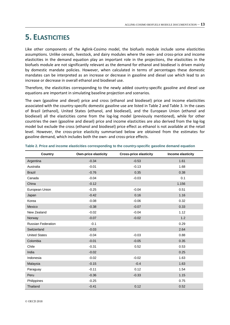### <span id="page-12-0"></span>**5. ELASTICITIES**

Like other components of the Aglink-Cosimo model, the biofuels module include some elasticities assumptions. Unlike cereals, livestock, and dairy modules where the own- and cross-price and income elasticities in the demand equation play an important role in the projections, the elasticities in the biofuels module are not significantly relevant as the demand for ethanol and biodiesel is driven mainly by domestic mandate policies. However, when calculated in terms of percentages these domestic mandates can be interpreted as an increase or decrease in gasoline and diesel use which lead to an increase or decrease in overall ethanol and biodiesel use.

Therefore, the elasticities corresponding to the newly added country-specific gasoline and diesel use equations are important in simulating baseline projection and scenarios.

The own (gasoline and diesel) price and cross (ethanol and biodiesel) price and income elasticities associated with the country-specific domestic gasoline use are listed in Table 2 and Table 3. In the cases of Brazil (ethanol), United States (ethanol, and biodiesel), and the European Union (ethanol and biodiesel) all the elasticities come from the log-log model (previously mentioned), while for other countries the own (gasoline and diesel) price and income elasticities are also derived from the log-log model but exclude the cross (ethanol and biodiesel) price effect as ethanol is not available at the retail level. However, the cross-price elasticity summarised below are obtained from the estimates for gasoline demand, which includes both the own- and cross-price effects.

| Country                   | <b>Own-price elasticity</b> | <b>Cross-price elasticity</b> | Income elasticity |
|---------------------------|-----------------------------|-------------------------------|-------------------|
| Argentina                 | $-0.34$                     | $-0.53$                       | 1.61              |
| Australia                 | $-0.01$                     | $-0.13$                       | 1.68              |
| <b>Brazil</b>             | $-0.76$                     | 0.35                          | 0.38              |
| Canada                    | $-0.04$                     | $-0.03$                       | 0.1               |
| China                     | $-0.12$                     |                               | 1.156             |
| European Union            | $-0.25$                     | $-0.04$                       | 0.51              |
| Japan                     | $-0.42$                     | 0.16                          | 1.16              |
| Korea                     | $-0.08$                     | $-0.06$                       | 0.32              |
| Mexico                    | $-0.38$                     | $-0.07$                       | 0.33              |
| New Zealand               | $-0.02$                     | $-0.04$                       | 1.12              |
| Norway                    | $-0.07$                     | $-0.02$                       | 1.2               |
| <b>Russian Federation</b> | $-0.1$                      |                               | 0.29              |
| Switzerland               | $-0.03$                     |                               | 2.64              |
| <b>United States</b>      | $-0.04$                     | $-0.03$                       | 0.88              |
| Colombia                  | $-0.01$                     | $-0.05$                       | 0.35              |
| Chile                     | $-0.31$                     | 0.52                          | 0.53              |
| India                     | $-0.02$                     |                               | 0.25              |
| Indonesia                 | $-0.02$                     | $-0.02$                       | 1.63              |
| Malaysia                  | $-0.15$                     | $-0.4$                        | 1.63              |
| Paraguay                  | $-0.11$                     | 0.12                          | 1.54              |
| Peru                      | $-0.36$                     | $-0.33$                       | 1.15              |
| Philippines               | $-0.25$                     |                               | 0.75              |
| Thailand                  | $-0.41$                     | 0.12                          | 0.52              |

**Table 2. Price and income elasticities corresponding to the country-specific gasoline demand equation**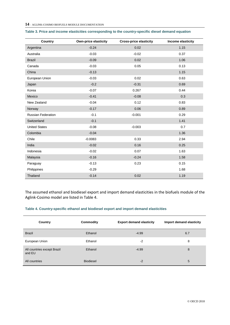#### **14** – AGLINK-COSIMO BIOFUELS MODULE DOCUMENTATION

| Country                   | <b>Own-price elasticity</b> | <b>Cross-price elasticity</b> | Income elasticity |
|---------------------------|-----------------------------|-------------------------------|-------------------|
| Argentina                 | $-0.24$                     | 0.02                          | 1.15              |
| Australia                 | $-0.03$                     | $-0.02$                       | 0.37              |
| <b>Brazil</b>             | $-0.09$                     | 0.02                          | 1.06              |
| Canada                    | $-0.03$                     | 0.05                          | 0.13              |
| China                     | $-0.13$                     |                               | 1.15              |
| European Union            | $-0.03$                     | 0.02                          | 0.63              |
| Japan                     | $-0.2$                      | $-0.31$                       | 0.69              |
| Korea                     | $-0.07$                     | 0.267                         | 0.44              |
| Mexico                    | $-0.41$                     | $-0.08$                       | 0.3               |
| New Zealand               | $-0.04$                     | 0.12                          | 0.83              |
| Norway                    | $-0.17$                     | 0.06                          | 0.89              |
| <b>Russian Federation</b> | $-0.1$                      | $-0.001$                      | 0.29              |
| Switzerland               | $-0.1$                      |                               | 1.41              |
| <b>United States</b>      | $-0.08$                     | $-0.003$                      | 0.7               |
| Colombia                  | $-0.04$                     |                               | 1.36              |
| Chile                     | $-0.0083$                   | 0.33                          | 2.94              |
| India                     | $-0.02$                     | 0.16                          | 0.25              |
| Indonesia                 | $-0.02$                     | 0.07                          | 1.63              |
| Malaysia                  | $-0.16$                     | $-0.24$                       | 1.58              |
| Paraguay                  | $-0.13$                     | 0.23                          | 0.15              |
| Philippines               | $-0.29$                     |                               | 1.68              |
| Thailand                  | $-0.14$                     | 0.02                          | 1.19              |

#### **Table 3. Price and income elasticities corresponding to the country-specific diesel demand equation**

The assumed ethanol and biodiesel export and import demand elasticities in the biofuels module of the Aglink-Cosimo model are listed in Table 4.

#### **Table 4. Country-specific ethanol and biodiesel export and import demand elasticities**

| Country                               | Commodity        | <b>Export demand elasticity</b> | Import demand elasticity |
|---------------------------------------|------------------|---------------------------------|--------------------------|
| <b>Brazil</b>                         | Ethanol          | $-4.99$                         | 6.7                      |
| European Union                        | Ethanol          | -2                              | 8                        |
| All countries except Brazil<br>and EU | Ethanol          | $-4.99$                         | 8                        |
| All countries                         | <b>Biodiesel</b> | $-2$                            | 5                        |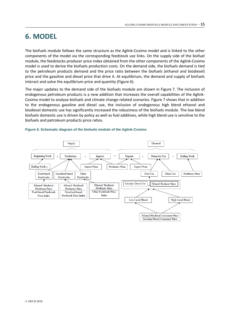### <span id="page-14-0"></span>**6. MODEL**

The biofuels module follows the same structure as the Aglink-Cosimo model and is linked to the other components of the model via the corresponding feedstock use links. On the supply side of the biofuel module, the feedstocks producer price index obtained from the other components of the Aglink-Cosimo model is used to derive the biofuels production costs. On the demand side, the biofuels demand is tied to the petroleum products demand and the price ratio between the biofuels (ethanol and biodiesel) price and the gasoline and diesel price that drive it. At equilibrium, the demand and supply of biofuels interact and solve the equilibrium price and quantity (Figure 6).

The major updates to the demand side of the biofuels module are shown in Figure 7. The inclusion of endogenous petroleum products is a new addition that increases the overall capabilities of the Aglink-Cosimo model to analyse biofuels and climate change-related scenarios. Figure 7 shows that in addition to the endogenous gasoline and diesel use, the inclusion of endogenous high blend ethanol and biodiesel domestic use has significantly increased the robustness of the biofuels module. The low blend biofuels domestic use is driven by policy as well as fuel additives, while high blend use is sensitive to the biofuels and petroleum products price ratios.



#### **Figure 6. Schematic diagram of the biofuels module of the Aglink-Cosimo**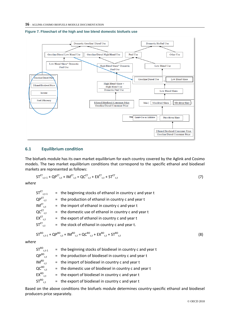

#### **Figure 7. Flowchart of the high and low blend domestic biofuels use**

### **6.1 Equilibrium condition**

The biofuels module has its own market equilibrium for each country covered by the Aglink and Cosimo models. The two market equilibrium conditions that correspond to the specific ethanol and biodiesel markets are represented as follows:

$$
\mathsf{ST}^{\mathsf{ET}}_{\mathsf{c},\mathsf{t}\text{-1}} + \mathsf{QP}^{\mathsf{ET}}_{\mathsf{c},\mathsf{t}} + \mathsf{IM}^{\mathsf{ET}}_{\mathsf{c},\mathsf{t}} = \mathsf{QC}^{\mathsf{ET}}_{\mathsf{c},\mathsf{t}} + \mathsf{EX}^{\mathsf{ET}}_{\mathsf{c},\mathsf{t}} + \mathsf{ST}^{\mathsf{ET}}_{\mathsf{c},\mathsf{t}} \tag{7}
$$

*where*

| $ST_{c,t-1}^{ET}$                                   | $=$ the beginning stocks of ethanol in country c and year t |
|-----------------------------------------------------|-------------------------------------------------------------|
| $QP^{ET}$ <sub>c.t</sub>                            | $=$ the production of ethanol in country c and year t       |
| $IM_{c,t}^{\text{ET}}$                              | $=$ the import of ethanol in country c and year t           |
| $QC^{ET}$ <sub>c,t</sub>                            | $=$ the domestic use of ethanol in country c and year t     |
| $\mathsf{EX}^{\mathsf{ET}}_{\mathsf{c},\mathsf{t}}$ | $=$ the export of ethanol in country c and year t           |
| $ST_{\text{c.t}}^{\text{ET}}$                       | $=$ the stock of ethanol in country c and year t.           |
|                                                     |                                                             |

$$
ST^{BD}_{c,t-1} + QP^{BD}_{c,t} + IM^{BD}_{c,t} = QC^{BD}_{c,t} + EX^{BD}_{c,t} + ST^{BD}_{c,t}
$$
 (8)

*where*

 $ST^{BD}_{c,t-1}$  $=$  the beginning stocks of biodiesel in country c and year t  $QP^{BD}$ <sub>c,t</sub>  $=$  the production of biodiesel in country c and year t  $IM^{BD}_{c,t}$  $=$  the import of biodiesel in country c and year t  $QC^{BD}_{c,t}$  $=$  the domestic use of biodiesel in country c and year t  $EX^{BD}_{c,t}$  $=$  the export of biodiesel in country c and year t  $ST^{BD}_{\phantom{BD}c.t}$  $=$  the export of biodiesel in country c and year t

Based on the above conditions the biofuels module determines country-specific ethanol and biodiesel producers price separately.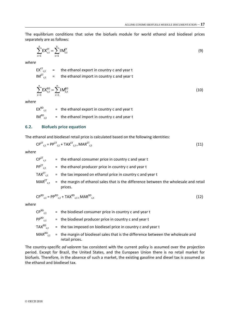The equilibrium conditions that solve the biofuels module for world ethanol and biodiesel prices separately are as follows:

$$
\sum_{c=1}^{n} E X_{c,t}^{ET} = \sum_{c=1}^{n} I M_{c,t}^{ET}
$$
 (9)

*where*

 $EX_{c,t}^{ET}$  = the ethanol export in country c and year t  $IM<sup>ET</sup><sub>c,t</sub>$  = the ethanol import in country c and year t

$$
\sum_{c=1}^{n} E X_{c,t}^{BD} = \sum_{c=1}^{n} I M_{c,t}^{BD}
$$
 (10)

*where*

 $EX^{BD}_{c,t}$  $=$  the ethanol export in country c and year t  $IM^{BD}_{\phantom{CD}ct}$  $=$  the ethanol import in country c and year t

#### **6.2. Biofuels price equation**

The ethanol and biodiesel retail price is calculated based on the following identities:

$$
CP^{ET}_{c,t} = PP^{ET}_{c,t} + TAX^{ET}_{c,t} + MAR^{ET}_{c,t}
$$
\n(11)

*where*

| $\mathsf{CP}^{\mathsf{ET}}_{\mathsf{c.t.}}$                  | $=$ the ethanol consumer price in country c and year t                                           |
|--------------------------------------------------------------|--------------------------------------------------------------------------------------------------|
| $\mathsf{PP}^{\textsf{ET}}_{\phantom{\textsf{C}}\textsf{C}}$ | $=$ the ethanol producer price in country c and year t                                           |
| $\mathsf{TAX}^{\mathsf{ET}}_{\mathsf{c.t}}$                  | $=$ the tax imposed on ethanol price in country c and year t                                     |
| $\mathsf{MAR}^{\mathsf{ET}}_{\mathsf{c.t.}}$                 | = the margin of ethanol sales that is the difference between the wholesale and retail<br>prices. |

$$
CP^{BD}_{c,t} = PP^{BD}_{c,t} + TAX^{BD}_{c,t} + MAR^{BD}_{c,t}
$$
\n
$$
(12)
$$

*where*

| $\mathsf{CP}^{\mathsf{BD}}_{\phantom{\mathsf{C}}\mathsf{c}.\mathsf{t}}$ . | $=$ the biodiesel consumer price in country c and year t                                                                                 |
|---------------------------------------------------------------------------|------------------------------------------------------------------------------------------------------------------------------------------|
| $\mathsf{PP}^{\mathsf{BD}}_{\phantom{\mathsf{C}}\text{c.t.}}$             | $=$ the biodiesel producer price in country c and year t                                                                                 |
| $\mathsf{TAX}^{\mathsf{BD}}_{\mathsf{c.t.}}$                              | $=$ the tax imposed on biodiesel price in country c and year t                                                                           |
|                                                                           | $\text{MAR}^{\text{BD}}_{\text{c,t}}$ = the margin of biodiesel sales that is the difference between the wholesale and<br>retail prices. |

The country-specific *ad valorem* tax consistent with the current policy is assumed over the projection period. Except for Brazil, the United States, and the European Union there is no retail market for biofuels. Therefore, in the absence of such a market, the existing gasoline and diesel tax is assumed as the ethanol and biodiesel tax.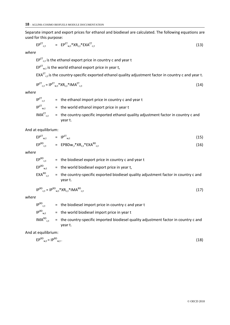Separate import and export prices for ethanol and biodiesel are calculated. The following equations are used for this purpose:

$$
EP^{ET}_{c,t} = EP^{ET}_{w,t}*XR_{c,t}*EXA^{ET}_{c,t}
$$
 (13)

*where*

 $EP^{ET}_{c,t}$  is the ethanol export price in country c and year t

 $EP^{ET}$ <sub>w,t</sub> is the world ethanol export price in year t,

 $\mathsf{EXA}^\mathsf{ET}$ <sub>c,t</sub> is the country-specific exported ethanol quality adjustment factor in country c and year t.

$$
IP^{ET}_{c,t} = IP^{ET}_{w,t} * XR_{c,t} * IMA^{ET}_{c,t}
$$
\n
$$
(14)
$$

*where*

 $IP^{\text{ET}}_{c.t.}$  $=$  the ethanol import price in country c and year t  $IP^{ET}_{w,t}$  = the world ethanol import price in year t  $IMA<sup>ET</sup>_{c.t.}$  $=$  the country-specific imported ethanol quality adjustment factor in country c and year t.

And at equilibrium:

$$
EP^{ET}_{w,t} = IP^{ET}_{w,t}
$$
 (15)

$$
EP^{BD}_{c,t} = EPBDw_{,t}^*XR_{c,t}^*EXA^{BD}_{c,t}
$$
 (16)

*where*

| $\mathsf{EP}^{\mathsf{BD}}_{\phantom{\mathsf{C}}\text{\rm c.t.}}$ | $=$ the biodiesel export price in country c and year t                               |
|-------------------------------------------------------------------|--------------------------------------------------------------------------------------|
| $\mathsf{EP}^{\mathsf{BD}}_{\mathsf{w}.\mathsf{t}}$               | $=$ the world biodiesel export price in year t,                                      |
| $\mathsf{EXA}^{\mathsf{BD}}_{\phantom{\mathsf{C}}\mathsf{C}}$     | = the country-specific exported biodiesel quality adjustment factor in country c and |
|                                                                   | vear t.                                                                              |

$$
IP^{BD}_{c,t} = IP^{BD}_{w,t} * XR_{c,t} * IMA^{BD}_{c,t}
$$
 (17)

*where*

| $IP^{BD}_{c.t.}$       | $=$ the biodiesel import price in country c and year t                                          |
|------------------------|-------------------------------------------------------------------------------------------------|
| $IP^{\text{BD}}_{w,t}$ | $=$ the world biodiesel import price in year t                                                  |
| $IMA^{BD}_{c+}$        | = the country-specific imported biodiesel quality adjustment factor in country c and<br>vear t. |

And at equilibrium:

$$
EP^{BD}_{w,t} = IP^{BD}_{w,t}.
$$
 (18)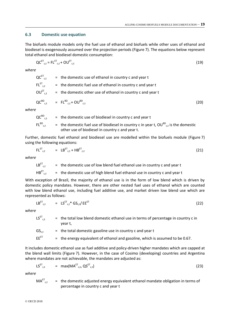### **6.3 Domestic use equation**

The biofuels module models only the fuel use of ethanol and biofuels while other uses of ethanol and biodiesel is exogenously assumed over the projection periods (Figure 7). The equations below represent total ethanol and biodiesel domestic consumption:

$$
\mathsf{QC}^{\mathsf{ET}}_{\mathsf{c},\mathsf{t}} = \mathsf{FL}^{\mathsf{ET}}_{\mathsf{c},\mathsf{t}} + \mathsf{OU}^{\mathsf{ET}}_{\mathsf{c},\mathsf{t}} \tag{19}
$$

*where*

 $QC^{ET}$ <sub>ct</sub>  $=$  the domestic use of ethanol in country c and year t  $FL^{\text{ET}}_{\phantom{\text{C}}\text{C}}$  $=$  the domestic fuel use of ethanol in country c and year t  $OU<sup>ET</sup><sub>ct</sub>$  $=$  the domestic other use of ethanol in country c and year t  $QC^{BD}_{c.t.}$  $_{c,t}$  = FL<sup>BD</sup><sub>c,t</sub> + OU<sup>BD</sup>  $\sigma_{\rm c,t}$  (20)

*where*

$$
QC^{BD}_{c,t}
$$
 = the domestic use of biological in country c and year t  
\n $FL^{BD}_{c,t}$  = the domestic fuel use of biological in country c in year t,  $OU^{BD}_{c,t}$  is the domestic  
\nother use of biological in country c and year t.

Further, domestic fuel ethanol and biodiesel use are modelled within the biofuels module (Figure 7) using the following equations:

$$
FL^{ET}_{c,t} = LB^{ET}_{c,t} + HB^{ET}_{c,t}
$$
 (21)

*where*

$$
LB^{ET}_{c,t}
$$
 = the domestic use of low blend fuel ethanol use in country c and year t  
\n $HB^{ET}_{c,t}$  = the domestic use of high blend fuel ethanol use in country c and year t

With exception of Brazil, the majority of ethanol use is in the form of low blend which is driven by domestic policy mandates. However, there are other nested fuel uses of ethanol which are counted with low blend ethanol use, including fuel additive use, and market driven low blend use which are represented as follows:

$$
LB^{ET}_{c,t} = LS^{ET}_{c,t} * GS_{c,t}/EE^{ET}
$$
 (22)

*where*

| $LS^{ET}$ <sub>c.t</sub> | = the total low blend domestic ethanol use in terms of percentage in country c in<br>vear t. |
|--------------------------|----------------------------------------------------------------------------------------------|
| $GS_{c+}$                | $=$ the total domestic gasoline use in country c and year t                                  |
| $EE^{ET}$                | $=$ the energy equivalent of ethanol and gasoline, which is assumed to be 0.67.              |

It includes domestic ethanol use as fuel additive and policy-driven higher mandates which are capped at the blend wall limits (Figure 7). However, in the case of Cosimo (developing) countries and Argentina where mandates are not achievable, the mandates are adjusted as:

$$
LS^{ET}_{c,t} = max(MA^{ET}_{c,t}, QS^{ET}_{c,t})
$$
 (23)

*where*

$$
MA^{ET}_{c,t}
$$
 = the domestic adjusted energy equivalent ethanol mandate obligation in terms of percentage in country c and year t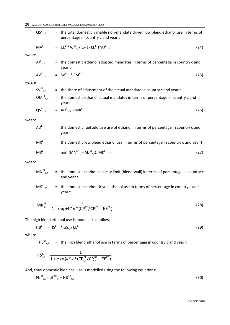### **20** – AGLINK-COSIMO BIOFUELS MODULE DOCUMENTATION

|       | $\mathsf{QS}^{\mathsf{ET}}_{\mathsf{c},\mathsf{t}}$ | = the total domestic variable non-mandate driven low blend ethanol use in terms of<br>percentage in country c and year t |      |
|-------|-----------------------------------------------------|--------------------------------------------------------------------------------------------------------------------------|------|
|       |                                                     | $MA^{ET}$ <sub>c.t</sub> = $EE^{ET} * AI^{ET}$ <sub>c.t</sub> $/(1-(1 - EE^{ET}) * AI^{ET}$ <sub>c.t</sub> $)$           | (24) |
| where |                                                     |                                                                                                                          |      |
|       |                                                     | $AU_{c,t}^{ET}$ = the domestic ethanol adjusted mandates in terms of percentage in country c and<br>year t               |      |
|       |                                                     | $AV^{ET}_{c,t}$ = $SV^{ET}_{c,t}$ *OM $^{ET}_{c,t}$                                                                      | (25) |
| where |                                                     |                                                                                                                          |      |
|       | $\mathsf{SV}^{\mathsf{ET}}_{\mathsf{c},\mathsf{t}}$ | = the share of adjustment of the actual mandate in country c and year t                                                  |      |
|       | $OM^{\text{ET}}_{c,t}$                              | = the domestic ethanol actual mandates in terms of percentage in country c and<br>year t                                 |      |
|       |                                                     | $\text{QS}^{\text{ET}}_{\text{c.t}}$ = $\text{AD}^{\text{ET}}_{\text{c.t}} + \text{MR}^{\text{ET}}_{\text{c.t}}$         | (26) |
| where |                                                     |                                                                                                                          |      |
|       | $\mathsf{AD}^{\mathsf{ET}}_{\mathsf{c.t}}$          | = the domestic fuel additive use of ethanol in terms of percentage in country c and<br>year t                            |      |
|       | $\mathsf{MR}^{\mathsf{ET}}_{\mathsf{c},\mathsf{t}}$ | = the domestic low blend ethanol use in terms of percentage in country c and year t                                      |      |
|       |                                                     | $MR^{ET}_{c,t}$ = min( $(MN^{ET}_{c,t} - AD^{ET}_{c,t})$ , $MK^{ET}_{c,t}$ )                                             | (27) |
| where |                                                     |                                                                                                                          |      |
|       |                                                     |                                                                                                                          |      |

$$
MN^{ET}_{c,t} = the domestic market capacity limit (blend-wall) in terms of percentage in country c and year t
$$

$$
MK^{ET}_{c,t} =
$$
 the domestic market driven ethanol use in terms of percentage in country c and  
year t

$$
MK_{c,t}^{ET} = \frac{1}{1 + \exp(\mathbf{4}^* \kappa^* (CP_{c,t}^{ET}/CP_{c,t}^{GS} - EE^{ET}))}
$$
 (28)

The high blend ethanol use is modelled as follow:

$$
HB^{ET}_{c,t} = HS^{ET}_{c,t} * GS_{c,t}/EE^{ET}
$$
 (29)

where

 $HS<sup>ET</sup><sub>c,t</sub>$  = the high blend ethanol use in terms of percentage in country c and year t

$$
HS_{c,t}^{ET} = \frac{1}{1 + exp(4 \cdot k \cdot k (CP_{c,t}^{ET}/CP_{c,t}^{GS} - EE^{ET})}
$$

And, total domestic biodiesel use is modelled using the following equations:

$$
FL^{BD}_{c,t} = LB^{BD}_{c,t} + HB^{BD}_{c,t} \tag{30}
$$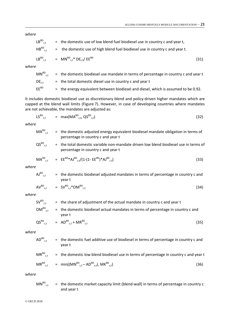*where*

$$
LB^{BD}_{c,t} = the domestic use of low blend fuel biodiesel use in country c and year t,\n
$$
HB^{BD}_{c,t} = the domestic use of high blend fuel biodiesel use in country c and year t.
$$
\n
$$
LB^{BD}_{c,t} = MN^{BD}_{c,t} * DE_{c,t}/EE^{BD}
$$
\n(3)
$$

$$
B^{BD}_{c,t} = MN^{BD}_{c,t} * DE_{c,t}/EE^{BD}
$$
 (31)

*where*

 $MN^{BD}_{c,t}$  = the domestic biodiesel use mandate in terms of percentage in country c and year t  $DE_{c,t}$  = the total domestic diesel use in country c and year t EE<sup>BD</sup> = the energy equivalent between biodiesel and diesel, which is assumed to be 0.92.

It includes domestic biodiesel use as discretionary blend and policy-driven higher mandates which are capped at the blend wall limits (Figure 7). However, in case of developing countries where mandates are not achievable, the mandates are adjusted as:

$$
LS^{BD}_{c,t} = max(MA^{BD}_{c,t}, QS^{BD}_{c,t})
$$
\n(32)

*where*

$$
MA^{BD}_{c,t}
$$
 = the domestic adjusted energy equivalent biological mandate obligation in terms of  
percentage in country c and year t  
 $QS^{BD}_{c,t}$  = the total domestic variable non-mandate driven low blend biological use in terms of  
percentage in country c and year t  
 $MA^{BD}_{c,t}$  =  $EE^{BD*}AJ^{BD}_{c,t}/(1-(1-EE^{BD})*AJ^{BD}_{c,t})$  (33)

*where*

| $\mathsf{AJ}^{\mathsf{BD}}_{\phantom{\mathsf{C}}\mathsf{C}.\mathsf{f}}$ . | = the domestic biodiesel adjusted mandates in terms of percentage in country c and |      |
|---------------------------------------------------------------------------|------------------------------------------------------------------------------------|------|
|                                                                           | vear t                                                                             |      |
|                                                                           | $AV^{BD}_{c,t}$ = $SV^{BD}_{c,t} * OM^{BD}_{c,t}$                                  | (34) |

*where*

$$
SV^{BD}_{c,t} = the share of adjustment of the actual mandate in country c and year t\nOM^{BD}_{c,t} = the domestic biological actual mandates in terms of percentage in country c and year t\nOS^{BD}_{c,t} = AD^{BD}_{c,t} + MR^{BD}_{c,t}
$$
\n(35)

$$
\lambda S^{\text{BD}}{}_{c,t} = A D^{\text{BD}}{}_{c,t} + M R^{\text{BD}}{}_{c,t} \tag{35}
$$

*where*

$$
AD^{BD}_{c,t}
$$
 = the domestic fuel additive use of biodiesel in terms of percentage in country c and  
year t  
 $MR^{BD}_{c,t}$  = the domestic low blend biodiesel use in terms of percentage in country c and year t  
 $MR^{BD}_{c,t}$  = min( $(MN^{BD}_{c,t} - AD^{BD}_{c,t})$ ,  $MK^{BD}_{c,t}$ ) (36)

*where*

$$
MN^{BD}_{c,t} =
$$
 the domestic market capacity limit (blend-wall) in terms of percentage in country c and year t

© OECD 2018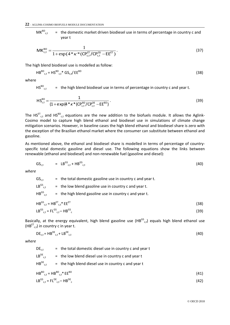**22** – AGLINK-COSIMO BIOFUELS MODULE DOCUMENTATION

 $MK^{BD}_{c}$  $=$  the domestic market driven biodiesel use in terms of percentage in country c and year t

$$
MK_{c,t}^{BD} = \frac{1}{1 + \exp(4 \cdot \kappa) \cdot \kappa \cdot (\text{CP}_{c,t}^{ET}/\text{CP}_{c,t}^{GS} - \text{EE}^{ET})}.
$$
\n(37)

The high blend biodiesel use is modelled as follow:

$$
\mathsf{HB}^{\mathrm{BD}}_{\mathrm{c},\mathrm{t}} = \mathsf{HS}^{\mathrm{BD}}_{\mathrm{c},\mathrm{t}} \mathsf{*} \mathsf{G} \mathsf{S}_{\mathrm{c},\mathrm{t}} / \mathsf{E} \mathsf{E}^{\mathrm{BD}} \tag{38}
$$

where

 $HS_{c,t}^{BD}$  $=$  the high blend biodiesel use in terms of percentage in country c and year t.

$$
HS_{c,t}^{BD} = \frac{1}{(1 + \exp(\mu^* \kappa^* (CP_{c,t}^{BD}/CP_{c,t}^{DE} - EE^{BD}))}.
$$
\n(39)

The HS<sup>ET</sup><sub>c,t</sub> and HS<sup>BD</sup><sub>c,t</sub> equations are the new addition to the biofuels module. It allows the Aglink-Cosimo model to capture high blend ethanol and biodiesel use in simulations of climate change mitigation scenarios. However, in baseline cases the high blend ethanol and biodiesel share is zero with the exception of the Brazilian ethanol market where the consumer can substitute between ethanol and gasoline.

As mentioned above, the ethanol and biodiesel share is modelled in terms of percentage of countryspecific total domestic gasoline and diesel use. The following equations show the links between renewable (ethanol and biodiesel) and non-renewable fuel (gasoline and diesel):

$$
GS_{c,t} = LB^{GS}_{c,t} + HB^{GS}_{c,t} \tag{40}
$$

*where*

 $GS<sub>c.t</sub>$  = the total domestic gasoline use in country c and year t.  $LB_{c,t}^{GS}$  $=$  the low blend gasoline use in country c and year t.  $HB<sup>GS</sup><sub>C<sub>+</sub></sub>$  $=$  the high blend gasoline use in country c and year t.  $HB^{GS}$ <sub>c,t</sub> =  $HB^{ET}$  $\mathsf{c}_{\mathsf{c},\mathsf{t}}$ \* EE $^{\mathsf{ET}}$  (38)  $LB^{GS}_{c,t} = FL^{GS}_{c,t} - HB^{GS}$ 

$$
LB^{\omega_c}{}_{c,t} = FL^{\omega_c}{}_{c,t} - HB^{\omega_c}
$$
 (39)

Basically, at the energy equivalent, high blend gasoline use  $(HB^{GS}_{c,t})$  equals high blend ethanol use  $(HB<sup>ET</sup><sub>c,t</sub>)$  in country c in year t.

$$
DE_{c,t} = HB^{DE}_{c,t} + LB^{DE}_{c,t}
$$
 (40)

*where*

 $DE<sub>c.t</sub>$  = the total domestic diesel use in country c and year t

- $LB^DE$ <sub>c.t</sub>  $=$  the low blend diesel use in country c and year t
- $HB^{DE}_{c.t.}$  $=$  the high blend diesel use in country c and year t

$$
HB^{\text{BD}}_{c,t} = HB^{\text{BD}}_{c,t} * EE^{\text{BD}} \tag{41}
$$

$$
LB^{GS}_{c,t} = FL^{DE}_{c,t} - HB^{DE}_{c}
$$
 (42)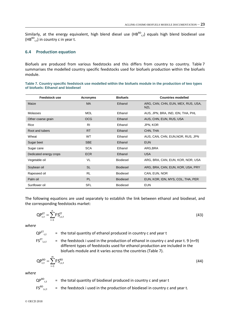Similarly, at the energy equivalent, high blend diesel use  $(HB^{BD}_{c,t})$  equals high blend biodiesel use  $(HB^{BD}_{c,t})$  in country c in year t.

### **6.4 Production equation**

Biofuels are produced from various feedstocks and this differs from country to country. Table 7 summarises the modelled country specific feedstocks used for biofuels production within the biofuels module.

**Table 7. Country specific feedstock use modelled within the biofuels module in the production of two types of biofuels: Ethanol and biodiesel**

| <b>Feedstock use</b>   | Acronyms       | <b>Biofuels</b>  | <b>Countries modelled</b>                        |
|------------------------|----------------|------------------|--------------------------------------------------|
| Maize                  | <b>MA</b>      | Ethanol          | ARG, CAN, CHN, EUN, MEX, RUS, USA,<br><b>NZL</b> |
| Molasses               | <b>MOL</b>     | Ethanol          | AUS, JPN, BRA, IND, IDN, THA, PHL                |
| Other coarse grain     | <b>OCG</b>     | Ethanol          | AUS, CHN, EUN, RUS, USA                          |
| Rice                   | R <sub>l</sub> | Ethanol          | JPN, KOR                                         |
| Root and tubers        | <b>RT</b>      | Ethanol          | CHN, THA                                         |
| Wheat                  | <b>WT</b>      | Ethanol          | AUS, CAN, CHN, EUN, NOR, RUS, JPN                |
| Sugar beet             | <b>SBE</b>     | Ethanol          | <b>EUN</b>                                       |
| Sugar cane             | <b>SCA</b>     | Ethanol          | ARG, BRA                                         |
| Dedicated energy crops | <b>ECR</b>     | Ethanol          | <b>USA</b>                                       |
| Vegetable oil          | VL             | <b>Biodiesel</b> | ARG, BRA, CAN, EUN, KOR, NOR, USA                |
| Soybean oil            | <b>SL</b>      | <b>Biodiesel</b> | ARG, BRA, CAN, EUN, KOR, USA, PRY                |
| Rapeseed oil           | <b>RL</b>      | <b>Biodiesel</b> | CAN, EUN, NOR                                    |
| Palm oil               | <b>PL</b>      | <b>Biodiesel</b> | EUN, KOR, IDN, MYS, COL, THA, PER                |
| Sunflower oil          | <b>SFL</b>     | <b>Biodiesel</b> | <b>EUN</b>                                       |

The following equations are used separately to establish the link between ethanol and biodiesel, and the corresponding feedstocks market:

$$
QP_{c,t}^{ET} = \sum_{i=1}^{n} FS_{i,c,t}^{ET}
$$
 (43)

*where*

 $QP^{ET}$ <sub>c,t</sub>  $=$  the total quantity of ethanol produced in country c and year t

 $FS_{i.c.t.}^{\text{ET}}$  $\epsilon$  the feedstock i used in the production of ethanol in country c and year t. 9 (n=9) different types of feedstocks used for ethanol production are included in the biofuels module and it varies across the countries (Table 7).

$$
QP_{c,t}^{BD} = \sum_{i=1}^{m} FS_{i,c,t}^{BD}
$$
 (44)

*where*

$$
QP^{BD}_{c,t}
$$
 = the total quantity of biological produced in country c and year t  
\n $FS^{BD}_{i,c,t}$  = the feedbackock i used in the production of biological in country c and year t.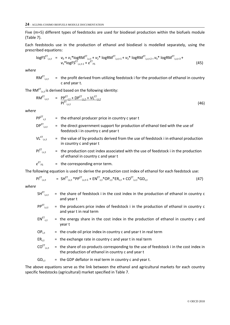Five (m=5) different types of feedstocks are used for biodiesel production within the biofuels module (Table 7).

Each feedstocks use in the production of ethanol and biodiesel is modelled separately, using the prescribed equations:

$$
\log FS^{\text{ET}}_{i,c,t} = v_0 + v_1^* \log RN^{\text{ET}}_{i,c,t} + v_2^* \log RN^{\text{ET}}_{i,c,t-1} + v_3^* \log RN^{\text{ET}}_{i,c,t-2} + v_4^* \log RN^{\text{ET}}_{i,c,t-3} + v_5^* \log FS^{\text{ET}}_{i,c,t-1} + \varepsilon^{\text{ET}}_{FS}
$$
\n(45)

*where*

RM<sup>ET</sup><sub>i,c,t</sub>  $=$  the profit derived from utilizing feedstock i for the production of ethanol in country c and year t.

The RM $^{\texttt{ET}}$ <sub>i,c,t</sub> is derived based on the following identity:

$$
RM^{\text{ET}}_{i,c,t} = \frac{PP^{\text{ET}}_{c,t} + DP^{\text{ET}}_{i,c,t} + VL^{\text{ET}}_{i,c,t}}{PI^{\text{ET}}_{i,c,t}}
$$
(46)

*where*

 $PP^{ET}$ <sub>c</sub>+  $=$  the ethanol producer price in country c year t  $DP<sup>ET</sup>_{i.c.t.}$  $i$ , the direct government support for production of ethanol tied with the use of feedstock i in country c and year t

$$
VL^{ET}_{i,c,t}
$$
 = the value of by-products derived from the use of feedback *i* in ethanol production in country *c* and year *t*

$$
PI^{ET}_{i,c,t} = the production cost index associated with the use of feedback i in the production of ethanol in country c and year t
$$

*ε* ET  $=$  the corresponding error term.

The following equation is used to derive the production cost index of ethanol for each feedstock use:

$$
PI^{ET}_{i,c,t} = SH^{ET}_{i,c,t} * PP^{ET}_{i,c,t-1} + EN^{ET}_{c,t} * OP_{c,t} * ER_{c,t} + CO^{ET}_{i,c,t} * GD_{c,t}
$$
\n(47)

*where*

| $\mathsf{SH}^{\mathsf{ET}}_{\mathsf{i.c.f.}}$ | = the share of feedstock i in the cost index in the production of ethanol in country c |
|-----------------------------------------------|----------------------------------------------------------------------------------------|
|                                               | and year t                                                                             |

- $PP^{ET}$ <sub>i,c,t</sub> = the producers price index of feedstock i in the production of ethanol in country c and year t in real term
- $EN_{c.t.}$  $=$  the energy share in the cost index in the production of ethanol in country c and year t
- $OP_{c,t}$  = the crude oil price index in country c and year t in real term

$$
ER_{c,t}
$$
 = the exchange rate in country c and year t in real term

$$
CO^{ET}
$$
<sub>i,c,t</sub> = the share of co-products corresponding to the use of feedback i in the cost index in the production of ethanol in country c and year t

 $GD_{c,t}$  = the GDP deflator in real term in country c and year t.

The above equations serve as the link between the ethanol and agricultural markets for each country specific feedstocks (agricultural) market specified in Table 7.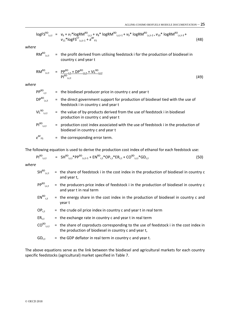$$
\log FS^{BD}{}_{i,c,t} = v_6 + v_7 * \log RM^{BD}{}_{i,c,t} + v_8 * \log RM^{BD}{}_{i,c,t-1} + v_9 * \log RM^{BD}{}_{i,c,t-2} + v_{10} * \log RM^{BD}{}_{i,c,t-3} + v_{11} * \log FS^{ET}{}_{i,c,t-1} + \varepsilon^{BF}{}_{FS}
$$
\n
$$
(48)
$$

*where*

RM ${}^{BD}$ <sub>i,c,t</sub> = the profit derived from utilising feedstock i for the production of biodiesel in country c and year t

$$
RM^{BD}_{i,c,t} = \frac{p p^{BD}_{c,t} + D P^{BD}_{i,c,t} + V L^{BD}_{i,c,t}}{p |^{BD}_{i,c,t}}
$$
(49)

*where*

| $PP^{BD}_{c,t}$                                 | $=$ the biodiesel producer price in country c and year t                                                                 |
|-------------------------------------------------|--------------------------------------------------------------------------------------------------------------------------|
| $DP^{BD}$ <sub>i,c,t</sub>                      | = the direct government support for production of biodiesel tied with the use of<br>feedstock i in country c and year t  |
| $VL^{BD}$ <sub>i.c.t</sub>                      | = the value of by-products derived from the use of feedstock i in biodiesel<br>production in country c and year t        |
| $PI^{BD}_{i,c,t}$                               | = production cost index associated with the use of feedstock i in the production of<br>biodiesel in country c and year t |
| $\varepsilon_{\texttt{\tiny FS}}^{\texttt{BF}}$ | $=$ the corresponding error term.                                                                                        |

The following equation is used to derive the production cost index of ethanol for each feedstock use:

$$
PI^{BD}_{i,c,t} = SH^{BD}_{i,c,t}*PP^{BD}_{i,c,t-1} + EN^{BD}_{c,t}*OP_{c,t}*ER_{c,t} + CO^{BD}_{i,c,t}*GD_{c,t}
$$
\n(50)

*where*

| $SH^{BD}{}_{i,c,t}$        | = the share of feedstock i in the cost index in the production of biodiesel in country c<br>and year t,                                        |
|----------------------------|------------------------------------------------------------------------------------------------------------------------------------------------|
| $PP^{BD}$ <sub>i,c,t</sub> | $=$ the producers price index of feedstock i in the production of biodiesel in country c<br>and year t in real term                            |
| $EN^{BD}_{c,t}$            | $=$ the energy share in the cost index in the production of biodiesel in country c and<br>year t                                               |
| $OP_{c,t}$                 | $=$ the crude oil price index in country c and year t in real term                                                                             |
| $ER_{c,t}$                 | $=$ the exchange rate in country c and year t in real term                                                                                     |
| $CO^{BD}$ <sub>i,c,t</sub> | = the share of coproducts corresponding to the use of feedstock i in the cost index in<br>the production of biodiesel in country c and year t, |
| $GD_{c,t}$                 | $=$ the GDP deflator in real term in country c and year t.                                                                                     |

The above equations serve as the link between the biodiesel and agricultural markets for each country specific feedstocks (agricultural) market specified in Table 7.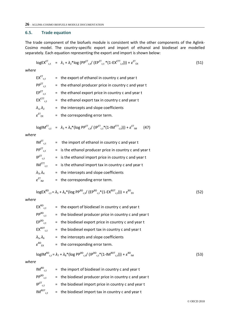### **6.5. Trade equation**

The trade component of the biofuels module is consistent with the other components of the Aglink-Cosimo model. The country-specific export and import of ethanol and biodiesel are modelled separately. Each equation representing the export and import is shown below:

$$
logEX^{ET}_{c,t} = \lambda_1 + \lambda_2 * log (PP^{ET}_{c,t} / (EP^{ET}_{c,t} * (1 - EX^{ETT}_{c,t}))) + \varepsilon^{ET}_{EX}
$$
\n(51)

*where*

 $EX^{\text{ET}}_{c.t.}$  $=$  the export of ethanol in country c and year t  $PP^{ET}_{c,t}$  = the ethanol producer price in country c and year t  $EP^{ET}$ <sub>c.t</sub>  $=$  the ethanol export price in country c and year t  $EX<sup>ETT</sup>_{c,t}$  = the ethanol export tax in country c and year t  $\lambda_1$ ,  $\lambda_2$  = the intercepts and slope coefficients  $\epsilon^{\text{ET}}_{\text{EX}}$  = the corresponding error term.

$$
logIM^{ET}_{c,t} = \lambda_3 + \lambda_4 * (log PP^{ET}_{c,t} / (IP^{ET}_{c,t} * (1-IM^{ET}_{c,t}))) + \varepsilon_{IM}^{ET} \qquad (47)
$$

*where*

| $IM_{c,t}^{ET}$                     | the import of ethanol in country c and year t<br>$=$      |  |
|-------------------------------------|-----------------------------------------------------------|--|
| $PP^{ET}$ <sub>c.t</sub>            | $=$ is the ethanol producer price in country c and year t |  |
| $IP^{\text{ET}}_{c.t.}$             | $=$ is the ethanol import price in country c and year t   |  |
| $IM^{ETT}_{c,t}$                    | $=$ is the ethanol import tax in country c and year t     |  |
| $\lambda_3, \lambda_4$              | = the intercepts and slope coefficients                   |  |
| $\varepsilon^{\text{\tiny{ET}}}$ ım | $=$ the corresponding error term.                         |  |

$$
logEX^{BD}_{c,t} = \lambda_5 + \lambda_6 * (log PP^{BD}_{c,t}/(EP^{BD}_{c,t} * (1 - EX^{BDT}_{c,t}))) + \varepsilon^{BD}_{Ex}
$$
\n(52)

*where*

| $EX^{BD}_{c.t.}$                                              | $=$ the export of biodiesel in country c and year t    |  |
|---------------------------------------------------------------|--------------------------------------------------------|--|
| $PP^{BD}_{c.t}$                                               | = the biodiesel producer price in country c and year t |  |
| $EP^{BD}_{c.t.}$                                              | $=$ the biodiesel export price in country c and year t |  |
| $EX^{BDT}$ <sub>c.t</sub>                                     | $=$ the biodiesel export tax in country c and year t   |  |
| $\lambda_5$ , $\lambda_6$                                     | = the intercepts and slope coefficients                |  |
| $\varepsilon^{\texttt{BD}}_{\phantom{\texttt{X}}\mathsf{EX}}$ | = the corresponding error term.                        |  |

$$
logIM^{BD}_{c,t} = \lambda_7 + \lambda_8 * (log PP^{BD}_{c,t} / (IP^{BD}_{c,t} * (1-IM^{BDT}_{c,t}))) + \varepsilon^{BD}_{IM}
$$
 (53)

#### *where*

| $IM^{BD}_{c.t.}$                                                 | $=$ the import of biodiesel in country c and year t      |
|------------------------------------------------------------------|----------------------------------------------------------|
| $PP^{BD}_{c.t.}$                                                 | $=$ the biodiesel producer price in country c and year t |
| $\mathsf{IP}^{\mathsf{ET}}_{\phantom{0}\mathsf{c.t.}}$           | $=$ the biodiesel import price in country c and year t   |
| $\mathsf{IM}^{\mathsf{BDT}}_{\quad \  \  \mathsf{c},\mathsf{t}}$ | $=$ the biodiesel import tax in country c and year t     |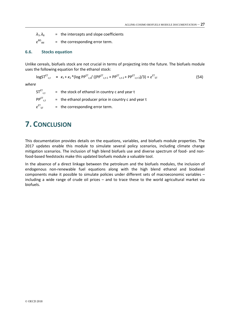$\lambda_7$ ,  $\lambda_8$  = the intercepts and slope coefficients *ε* BD  $=$  the corresponding error term.

### **6.6. Stocks equation**

Unlike cereals, biofuels stock are not crucial in terms of projecting into the future. The biofuels module uses the following equation for the ethanol stock:

$$
logST^{ET}_{c,t} = \kappa_1 + \kappa_2 * (log PP^{ET}_{c,t}/((PP^{ET}_{c,t-1} + PP^{ET}_{c,t-2} + PP^{ET}_{c,t-3})/3) + \varepsilon^{ET}_{ST}
$$
(54)

*where*

| $STETCT$                                                   | $=$ the stock of ethanol in country c and year t       |
|------------------------------------------------------------|--------------------------------------------------------|
| $PP^{ET}$ <sub>c.t</sub>                                   | $=$ the ethanol producer price in country c and year t |
| $\mathcal{E}^{\text{ET}}_{\phantom{\text{ST}}\mathsf{ST}}$ | $=$ the corresponding error term.                      |

### <span id="page-26-0"></span>**7. CONCLUSION**

This documentation provides details on the equations, variables, and biofuels module properties. The 2017 updates enable this module to simulate several policy scenarios, including climate change mitigation scenarios. The inclusion of high blend biofuels use and diverse spectrum of food- and nonfood-based feedstocks make this updated biofuels module a valuable tool.

In the absence of a direct linkage between the petroleum and the biofuels modules, the inclusion of endogenous non-renewable fuel equations along with the high blend ethanol and biodiesel components make it possible to simulate policies under different sets of macroeconomic variables – including a wide range of crude oil prices – and to trace these to the world agricultural market via biofuels.